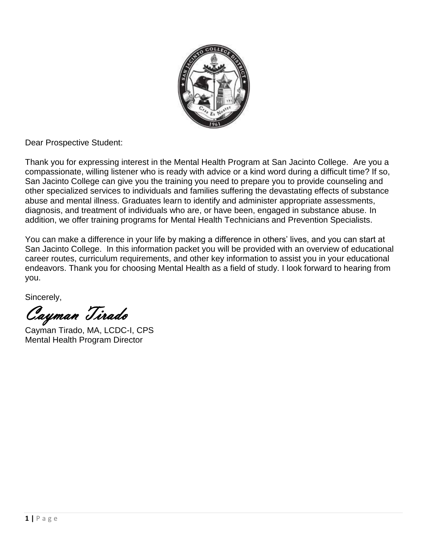

Dear Prospective Student:

Thank you for expressing interest in the Mental Health Program at San Jacinto College. Are you a compassionate, willing listener who is ready with advice or a kind word during a difficult time? If so, San Jacinto College can give you the training you need to prepare you to provide counseling and other specialized services to individuals and families suffering the devastating effects of substance abuse and mental illness. Graduates learn to identify and administer appropriate assessments, diagnosis, and treatment of individuals who are, or have been, engaged in substance abuse. In addition, we offer training programs for Mental Health Technicians and Prevention Specialists.

You can make a difference in your life by making a difference in others' lives, and you can start at San Jacinto College. In this information packet you will be provided with an overview of educational career routes, curriculum requirements, and other key information to assist you in your educational endeavors. Thank you for choosing Mental Health as a field of study. I look forward to hearing from you.

Sincerely,

Cayman Tirado

Cayman Tirado, MA, LCDC-I, CPS Mental Health Program Director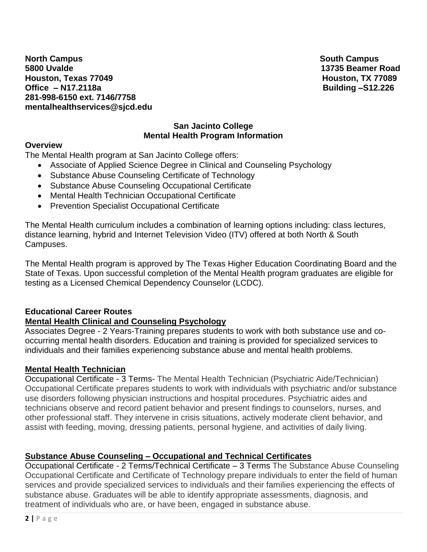**North Campus South Campus South Campus** South Campus South Campus South Campus South Campus South Campus South Campus **5800 Uvalde 13735 Beamer Road Houston, Texas 77049 Houston, TX 77089 Office – N17.2118a** Building –S12.226 **281-998-6150 ext. 7146/7758 mentalhealthservices@sjcd.edu** 

#### **San Jacinto College Mental Health Program Information**

#### **Overview**

The Mental Health program at San Jacinto College offers:

- Associate of Applied Science Degree in Clinical and Counseling Psychology
- Substance Abuse Counseling Certificate of Technology
- Substance Abuse Counseling Occupational Certificate
- Mental Health Technician Occupational Certificate
- Prevention Specialist Occupational Certificate

The Mental Health curriculum includes a combination of learning options including: class lectures, distance learning, hybrid and Internet Television Video (ITV) offered at both North & South Campuses.

The Mental Health program is approved by The Texas Higher Education Coordinating Board and the State of Texas. Upon successful completion of the Mental Health program graduates are eligible for testing as a Licensed Chemical Dependency Counselor (LCDC).

### **Educational Career Routes**

#### **Mental Health Clinical and Counseling Psychology**

Associates Degree - 2 Years-Training prepares students to work with both substance use and cooccurring mental health disorders. Education and training is provided for specialized services to individuals and their families experiencing substance abuse and mental health problems.

#### **Mental Health Technician**

Occupational Certificate - 3 Terms- The Mental Health Technician (Psychiatric Aide/Technician) Occupational Certificate prepares students to work with individuals with psychiatric and/or substance use disorders following physician instructions and hospital procedures. Psychiatric aides and technicians observe and record patient behavior and present findings to counselors, nurses, and other professional staff. They intervene in crisis situations, actively moderate client behavior, and assist with feeding, moving, dressing patients, personal hygiene, and activities of daily living.

### **Substance Abuse Counseling – Occupational and Technical Certificates**

Occupational Certificate - 2 Terms/Technical Certificate – 3 Terms The Substance Abuse Counseling Occupational Certificate and Certificate of Technology prepare individuals to enter the field of human services and provide specialized services to individuals and their families experiencing the effects of substance abuse. Graduates will be able to identify appropriate assessments, diagnosis, and treatment of individuals who are, or have been, engaged in substance abuse.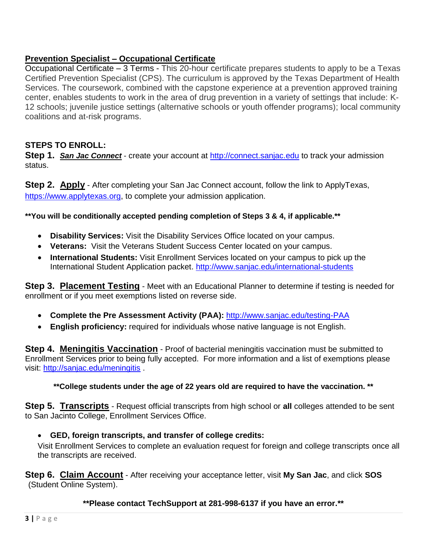## **Prevention Specialist – Occupational Certificate**

Occupational Certificate – 3 Terms - This 20-hour certificate prepares students to apply to be a Texas Certified Prevention Specialist (CPS). The curriculum is approved by the Texas Department of Health Services. The coursework, combined with the capstone experience at a prevention approved training center, enables students to work in the area of drug prevention in a variety of settings that include: K-12 schools; juvenile justice settings (alternative schools or youth offender programs); local community coalitions and at-risk programs.

## **STEPS TO ENROLL:**

**Step 1.** *San Jac Connect* - create your account at [http://connect.sanjac.edu](http://connect.sanjac.edu/) to track your admission status.

**Step 2. Apply** - After completing your San Jac Connect account, follow the link to ApplyTexas, [https://www.applytexas.org,](https://www.applytexas.org/) to complete your admission application.

**\*\*You will be conditionally accepted pending completion of Steps 3 & 4, if applicable.\*\***

- **Disability Services:** Visit the Disability Services Office located on your campus.
- **Veterans:** Visit the Veterans Student Success Center located on your campus.
- **International Students:** Visit Enrollment Services located on your campus to pick up the International Student Application packet.<http://www.sanjac.edu/international-students>

**Step 3. Placement Testing** - Meet with an Educational Planner to determine if testing is needed for enrollment or if you meet exemptions listed on reverse side.

- **Complete the Pre Assessment Activity (PAA):** <http://www.sanjac.edu/testing-PAA>
- **English proficiency:** required for individuals whose native language is not English.

**Step 4. Meningitis Vaccination** - Proof of bacterial meningitis vaccination must be submitted to Enrollment Services prior to being fully accepted. For more information and a list of exemptions please visit:<http://sanjac.edu/meningitis> .

#### **\*\*College students under the age of 22 years old are required to have the vaccination. \*\***

**Step 5. Transcripts** - Request official transcripts from high school or **all** colleges attended to be sent to San Jacinto College, Enrollment Services Office.

#### **GED, foreign transcripts, and transfer of college credits:**

Visit Enrollment Services to complete an evaluation request for foreign and college transcripts once all the transcripts are received.

**Step 6. Claim Account** - After receiving your acceptance letter, visit **My San Jac**, and click **SOS** (Student Online System).

**\*\*Please contact TechSupport at 281-998-6137 if you have an error.\*\***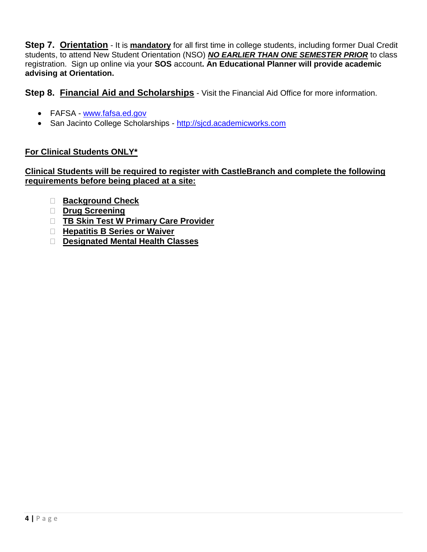**Step 7. Orientation** - It is **mandatory** for all first time in college students, including former Dual Credit students, to attend New Student Orientation (NSO) *NO EARLIER THAN ONE SEMESTER PRIOR* to class registration. Sign up online via your **SOS** account**. An Educational Planner will provide academic advising at Orientation.** 

**Step 8. Financial Aid and Scholarships** - Visit the Financial Aid Office for more information.

- FAFSA [www.fafsa.ed.gov](http://www.fafsa.ed.gov/)
- San Jacinto College Scholarships [http://sjcd.academicworks.com](http://sjcd.academicworks.com/)

### **For Clinical Students ONLY\***

### **Clinical Students will be required to register with CastleBranch and complete the following requirements before being placed at a site:**

- **Background Check**
- **Drug Screening**
- **TB Skin Test W Primary Care Provider**
- **Hepatitis B Series or Waiver**
- **Designated Mental Health Classes**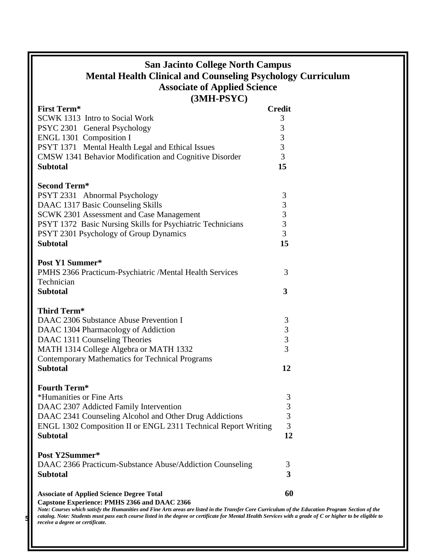# **San Jacinto College North Campus Mental Health Clinical and Counseling Psychology Curriculum Associate of Applied Science (3MH-PSYC)**

| <b>First Term*</b>                                                                                            | <b>Credit</b> |  |
|---------------------------------------------------------------------------------------------------------------|---------------|--|
| SCWK 1313 Intro to Social Work                                                                                | 3             |  |
| PSYC 2301 General Psychology                                                                                  | 3             |  |
| ENGL 1301 Composition I                                                                                       | 3             |  |
| PSYT 1371 Mental Health Legal and Ethical Issues                                                              | 3             |  |
| CMSW 1341 Behavior Modification and Cognitive Disorder                                                        | 3             |  |
| <b>Subtotal</b>                                                                                               | 15            |  |
|                                                                                                               |               |  |
| <b>Second Term*</b>                                                                                           |               |  |
| PSYT 2331 Abnormal Psychology                                                                                 | 3             |  |
| DAAC 1317 Basic Counseling Skills                                                                             | 3<br>3        |  |
| <b>SCWK 2301 Assessment and Case Management</b><br>PSYT 1372 Basic Nursing Skills for Psychiatric Technicians | 3             |  |
| PSYT 2301 Psychology of Group Dynamics                                                                        | 3             |  |
| <b>Subtotal</b>                                                                                               | 15            |  |
|                                                                                                               |               |  |
| Post Y1 Summer*                                                                                               |               |  |
| PMHS 2366 Practicum-Psychiatric /Mental Health Services                                                       | 3             |  |
| Technician                                                                                                    |               |  |
| <b>Subtotal</b>                                                                                               | 3             |  |
|                                                                                                               |               |  |
| <b>Third Term*</b>                                                                                            |               |  |
| DAAC 2306 Substance Abuse Prevention I                                                                        | 3             |  |
| DAAC 1304 Pharmacology of Addiction                                                                           | 3             |  |
| DAAC 1311 Counseling Theories                                                                                 | 3             |  |
| MATH 1314 College Algebra or MATH 1332                                                                        | 3             |  |
| <b>Contemporary Mathematics for Technical Programs</b>                                                        |               |  |
| <b>Subtotal</b>                                                                                               | 12            |  |
| <b>Fourth Term*</b>                                                                                           |               |  |
| *Humanities or Fine Arts                                                                                      | 3             |  |
| DAAC 2307 Addicted Family Intervention                                                                        | 3             |  |
| DAAC 2341 Counseling Alcohol and Other Drug Addictions                                                        | 3             |  |
| ENGL 1302 Composition II or ENGL 2311 Technical Report Writing                                                | 3             |  |
| <b>Subtotal</b>                                                                                               | 12            |  |
|                                                                                                               |               |  |
| Post Y2Summer*                                                                                                |               |  |
| DAAC 2366 Practicum-Substance Abuse/Addiction Counseling                                                      | 3             |  |
| <b>Subtotal</b>                                                                                               | 3             |  |
|                                                                                                               |               |  |
| <b>Associate of Applied Science Degree Total</b><br>Capstone Experience: PMHS 2366 and DAAC 2366              | 60            |  |
|                                                                                                               |               |  |

**1** catalog. Note: Students must pass each course listed in the degree or certificate for Mental Health Services with a grade of C or higher to be eligible to **reading** a degree or certificate *Note: Courses which satisfy the Humanities and Fine Arts areas are listed in the Transfer Core Curriculum of the Education Program Section of the receive a degree or certificate.*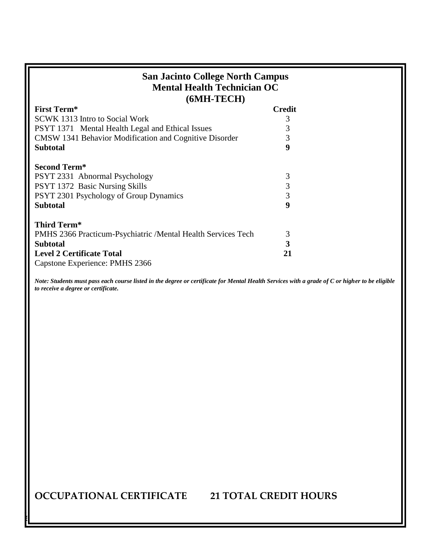| <b>San Jacinto College North Campus</b><br><b>Mental Health Technician OC</b><br>$(6MH-TECH)$ |               |  |  |
|-----------------------------------------------------------------------------------------------|---------------|--|--|
| <b>First Term*</b>                                                                            | <b>Credit</b> |  |  |
| <b>SCWK</b> 1313 Intro to Social Work                                                         | 3             |  |  |
| <b>PSYT 1371</b> Mental Health Legal and Ethical Issues                                       | 3             |  |  |
| CMSW 1341 Behavior Modification and Cognitive Disorder                                        | 3             |  |  |
| <b>Subtotal</b>                                                                               | 9             |  |  |
| <b>Second Term*</b><br>PSYT 2331 Abnormal Psychology<br>PSYT 1372 Basic Nursing Skills        | 3<br>3        |  |  |
| PSYT 2301 Psychology of Group Dynamics                                                        | 3             |  |  |
| <b>Subtotal</b>                                                                               | 9             |  |  |
| Third Term*                                                                                   |               |  |  |
| PMHS 2366 Practicum-Psychiatric /Mental Health Services Tech                                  | 3             |  |  |
| <b>Subtotal</b>                                                                               | 3             |  |  |
| <b>Level 2 Certificate Total</b><br>Capstone Experience: PMHS 2366                            | 21            |  |  |

*Note: Students must pass each course listed in the degree or certificate for Mental Health Services with a grade of C or higher to be eligible to receive a degree or certificate.*

**OCCUPATIONAL CERTIFICATE 21 TOTAL CREDIT HOURS**

**6 |** P a g e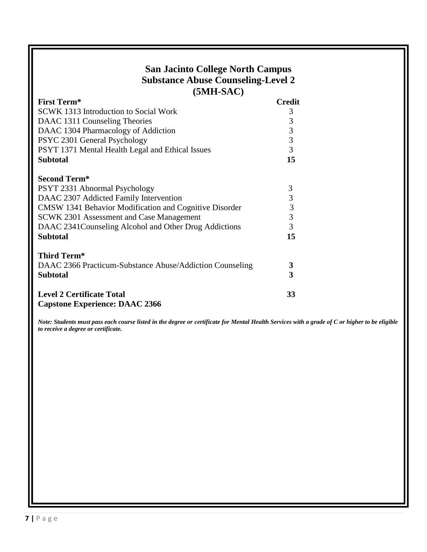## **San Jacinto College North Campus Substance Abuse Counseling-Level 2 (5MH-SAC)**

| <b>First Term*</b>                                                        | <b>Credit</b> |  |
|---------------------------------------------------------------------------|---------------|--|
| SCWK 1313 Introduction to Social Work                                     | 3             |  |
| DAAC 1311 Counseling Theories                                             | 3             |  |
| DAAC 1304 Pharmacology of Addiction                                       | 3             |  |
| PSYC 2301 General Psychology                                              | 3             |  |
| PSYT 1371 Mental Health Legal and Ethical Issues                          | 3             |  |
| <b>Subtotal</b>                                                           | 15            |  |
| <b>Second Term*</b>                                                       |               |  |
| PSYT 2331 Abnormal Psychology                                             | 3             |  |
| DAAC 2307 Addicted Family Intervention                                    | 3             |  |
| CMSW 1341 Behavior Modification and Cognitive Disorder                    | 3             |  |
| SCWK 2301 Assessment and Case Management                                  | 3             |  |
| DAAC 2341Counseling Alcohol and Other Drug Addictions                     | 3             |  |
| <b>Subtotal</b>                                                           | 15            |  |
| Third Term*                                                               |               |  |
| DAAC 2366 Practicum-Substance Abuse/Addiction Counseling                  | 3             |  |
| <b>Subtotal</b>                                                           | 3             |  |
| <b>Level 2 Certificate Total</b><br><b>Capstone Experience: DAAC 2366</b> | 33            |  |

*Note: Students must pass each course listed in the degree or certificate for Mental Health Services with a grade of C or higher to be eligible to receive a degree or certificate.*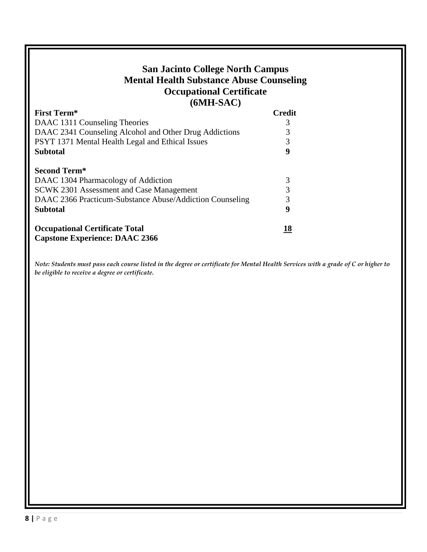# **San Jacinto College North Campus Mental Health Substance Abuse Counseling Occupational Certificate (6MH-SAC)**

| <b>First Term*</b>                                                             | <b>Credit</b> |  |
|--------------------------------------------------------------------------------|---------------|--|
| DAAC 1311 Counseling Theories                                                  |               |  |
| DAAC 2341 Counseling Alcohol and Other Drug Addictions                         |               |  |
| PSYT 1371 Mental Health Legal and Ethical Issues                               |               |  |
| <b>Subtotal</b>                                                                | 9             |  |
| <b>Second Term*</b>                                                            |               |  |
| DAAC 1304 Pharmacology of Addiction                                            | 3             |  |
| SCWK 2301 Assessment and Case Management                                       |               |  |
| DAAC 2366 Practicum-Substance Abuse/Addiction Counseling                       |               |  |
| <b>Subtotal</b>                                                                | 9             |  |
| <b>Occupational Certificate Total</b><br><b>Capstone Experience: DAAC 2366</b> | <u> 18</u>    |  |

*Note: Students must pass each course listed in the degree or certificate for Mental Health Services with a grade of C or higher to be eligible to receive a degree or certificate.*